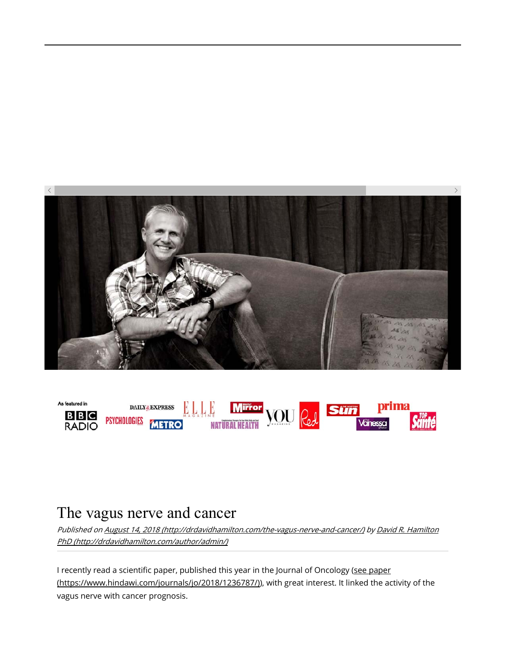



# The vagus nerve and cancer

Published on August 14, 2018 (http://drdavidhamilton.com/the-vagus-nerve-and-cancer/) by David R. Hamilton PhD (http://drdavidhamilton.com/author/admin/)

I recently read a scientific paper, published this year in the Journal of Oncology (see paper (https://www.hindawi.com/journals/jo/2018/1236787/)), with great interest. It linked the activity of the vagus nerve with cancer prognosis.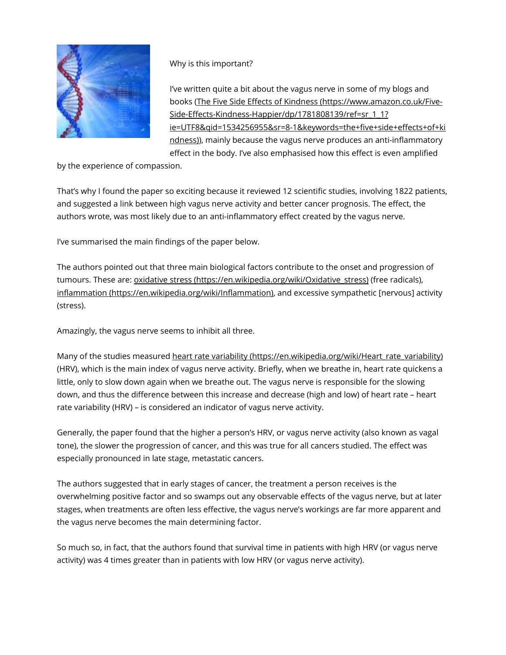

### Why is this important?

I've written quite a bit about the vagus nerve in some of my blogs and books (The Five Side Effects of Kindness (https://www.amazon.co.uk/Five-Side-Effects-Kindness-Happier/dp/1781808139/ref=sr\_1\_1? ie=UTF8&qid=1534256955&sr=8-1&keywords=the+five+side+effects+of+ki ndness)), mainly because the vagus nerve produces an anti-inflammatory effect in the body. I've also emphasised how this effect is even amplified

by the experience of compassion.

That's why I found the paper so exciting because it reviewed 12 scientific studies, involving 1822 patients, and suggested a link between high vagus nerve activity and better cancer prognosis. The effect, the authors wrote, was most likely due to an anti-inflammatory effect created by the vagus nerve.

I've summarised the main findings of the paper below.

The authors pointed out that three main biological factors contribute to the onset and progression of tumours. These are: oxidative stress (https://en.wikipedia.org/wiki/Oxidative stress) (free radicals), inflammation (https://en.wikipedia.org/wiki/Inflammation), and excessive sympathetic [nervous] activity (stress).

Amazingly, the vagus nerve seems to inhibit all three.

Many of the studies measured heart rate variability (https://en.wikipedia.org/wiki/Heart\_rate\_variability) (HRV), which is the main index of vagus nerve activity. Briefly, when we breathe in, heart rate quickens a little, only to slow down again when we breathe out. The vagus nerve is responsible for the slowing down, and thus the difference between this increase and decrease (high and low) of heart rate – heart rate variability (HRV) – is considered an indicator of vagus nerve activity.

Generally, the paper found that the higher a person's HRV, or vagus nerve activity (also known as vagal tone), the slower the progression of cancer, and this was true for all cancers studied. The effect was especially pronounced in late stage, metastatic cancers.

The authors suggested that in early stages of cancer, the treatment a person receives is the overwhelming positive factor and so swamps out any observable effects of the vagus nerve, but at later stages, when treatments are often less effective, the vagus nerve's workings are far more apparent and the vagus nerve becomes the main determining factor.

So much so, in fact, that the authors found that survival time in patients with high HRV (or vagus nerve activity) was 4 times greater than in patients with low HRV (or vagus nerve activity).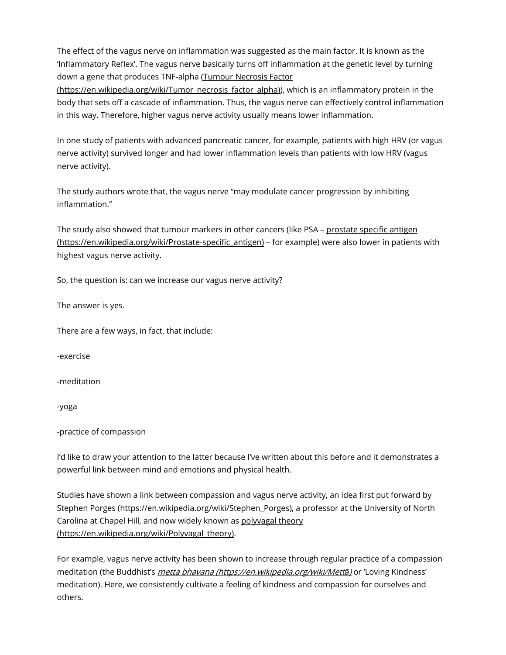The effect of the vagus nerve on inflammation was suggested as the main factor. It is known as the 'Inflammatory Reflex'. The vagus nerve basically turns off inflammation at the genetic level by turning down a gene that produces TNF-alpha (Tumour Necrosis Factor

(https://en.wikipedia.org/wiki/Tumor\_necrosis\_factor\_alpha)), which is an inflammatory protein in the body that sets off a cascade of inflammation. Thus, the vagus nerve can effectively control inflammation in this way. Therefore, higher vagus nerve activity usually means lower inflammation.

In one study of patients with advanced pancreatic cancer, for example, patients with high HRV (or vagus nerve activity) survived longer and had lower inflammation levels than patients with low HRV (vagus nerve activity).

The study authors wrote that, the vagus nerve "may modulate cancer progression by inhibiting inflammation."

The study also showed that tumour markers in other cancers (like PSA - prostate specific antigen (https://en.wikipedia.org/wiki/Prostate-specific antigen) – for example) were also lower in patients with highest vagus nerve activity.

So, the question is: can we increase our vagus nerve activity?

The answer is yes.

There are a few ways, in fact, that include:

-exercise

-meditation

-yoga

-practice of compassion

I'd like to draw your attention to the latter because I've written about this before and it demonstrates a powerful link between mind and emotions and physical health.

Studies have shown a link between compassion and vagus nerve activity, an idea first put forward by Stephen Porges (https://en.wikipedia.org/wiki/Stephen\_Porges), a professor at the University of North Carolina at Chapel Hill, and now widely known as polyvagal theory (https://en.wikipedia.org/wiki/Polyvagal\_theory).

For example, vagus nerve activity has been shown to increase through regular practice of a compassion meditation (the Buddhist's metta bhavana (https://en.wikipedia.org/wiki/Mett*ā*) or 'Loving Kindness' meditation). Here, we consistently cultivate a feeling of kindness and compassion for ourselves and others.